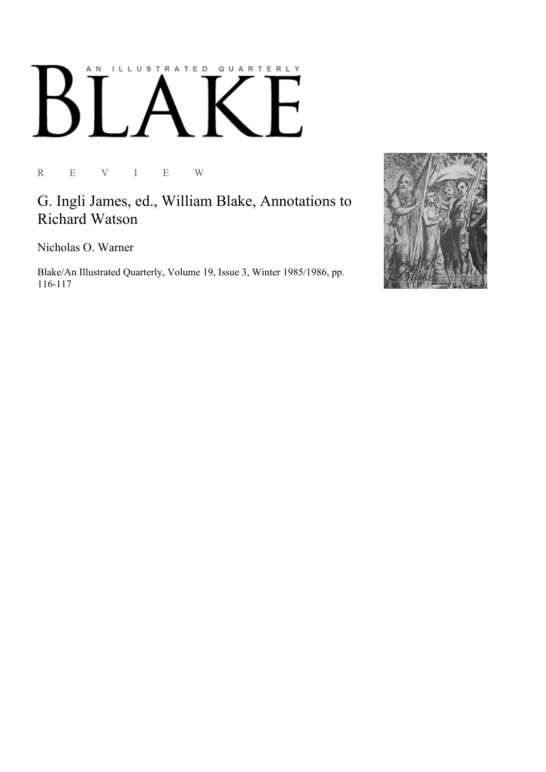## AN ILLUSTRATED QUARTERLY  $\boldsymbol{\mathsf{N}}$

R E V I E W

G. Ingli James, ed., William Blake, Annotations to Richard Watson

Nicholas O. Warner

Blake/An Illustrated Quarterly, Volume 19, Issue 3, Winter 1985/1986, pp. 116-117

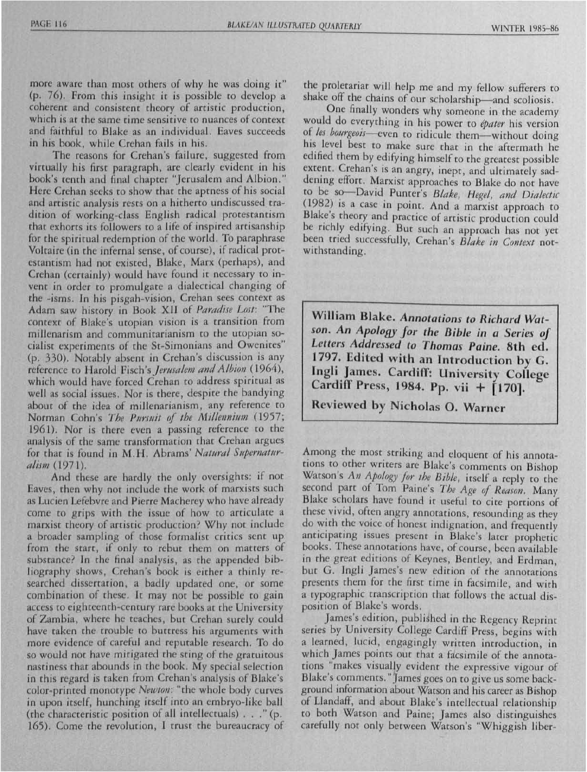more aware than most others of why he was doing it" (p. 76). From this insight it is possible to develop a coherent and consistent theory of artistic production, which is at the same time sensitive to nuances of context and faithful to Blake as an individual. Eaves succeeds in his book, while Crehan fails in his.

The reasons for Crehan's failure, suggested from virtually his first paragraph, are clearly evident in his book's tenth and final chapter "Jerusalem and Albion." Here Crehan seeks to show that the aptness of his social and artistic analysis rests on a hitherto undiscussed tradition of working-class English radical protestantism that exhorts its followers to a life of inspired artisanship for the spiritual redemption of the world. To paraphrase Voltaire (in the infernal sense, of course), if radical protestantism had not existed, Blake, Marx (perhaps), and Crehan (certainly) would have found it necessary to invent in order to promulgate a dialectical changing of the -isms. In his pisgah-vision, Crehan sees context as Adam saw history in Book XII of *Paradise Lost:* "The context of Blake's utopian vision is a transition from millenarism and communitarianism to the utopian socialist experiments of the St-Simonians and Owenites" (p. 330). Notably absent in Crehan's discussion is any reference to Harold Fisch's *Jerusalem and Albion* (1964), which would have forced Crehan to address spiritual as well as social issues. Nor is there, despite the bandying about of the idea of millenarianism, any reference to Norman Cohn's *The Pursuit of the Millennium* (1957; 1961). Nor is there even a passing reference to the analysis of the same transformation that Crehan argues for that is found in M.H. Abrams' *Natural Supernaturalism* (1971).

And these are hardly the only oversights: if not Eaves, then why not include the work of marxists such as Lucien Lefebvre and Pierre Macherey who have already come to grips with the issue of how to articulate a marxist theory of artistic production? Why not include a broader sampling of those formalist critics sent up from the start; if only to rebut them on matters of substance? In the final analysis, as the appended bibliography shows, Crehan's book is either a thinly researched dissertation, a badly updated one, or some combination of these. It may not be possible to gain access to eighteenth-century rare books at the University of Zambia, where he teaches, but Crehan surely could have taken the trouble to buttress his arguments with more evidence of careful and reputable research. To do so would not have mitigated the sting of the gratuitous nastiness that abounds in the book. My special selection in this regard is taken from Crehan's analysis of Blake's color-printed monotype *Newton*: "the whole body curves in upon itself, hunching itself into an embryo-like ball (the characteristic position of all intellectuals)  $\ldots$  " (p. 165). Come the revolution, I trust the bureaucracy of the proletariat will help me and my fellow sufferers to shake off the chains of our scholarship-and scoliosis.

One finally wonders why someone in the academy would do everything in his power to *epater* his version *les bourgeois-even* to ridicule them-without doing his level best to make sure that in the aftermath he edified them by edifying himself to the greatest possible extent. Crehan's is an angry, inept, and ultimately saddening effort. Marxist approaches to Blake do not have to be so--David Punter's *Blake, Hegel, and Dialectic*  (1982) is a case in point. And a marxist approach to Blake's theory and practice of artistic production could be richly edifying. But such an approach has not yet been tried successfully, Crehan's *Blake in Context* notwithstanding.

William Blake. Annotations to Richard Watson. An Apology for the Bible in a Series of Letters Addressed to Thomas Paine. 8th ed. 1797. Edited with an Introduction by G. Ingli James. Cardiff: University College Cardiff Press, 1984. Pp. vii  $+$  [170].

Reviewed by Nicholas O. Warner

Among the most striking and eloquent of his annotations to other writers are Blake's comments on Bishop Watson's *An Apology /01' the Bible,* itself a repJy to the second part of Tom Paine's *The Age 0/ Reason.* Many Blake scholars have found it useful to cite portions of these vivid, often angry annotations, resounding as they do with the voice of honest indignation, and frequently anticipating issues present in Blake's later prophetic books. These annotations have, of course, been available in the great editions of Keynes, Bentley, and Erdman, but G. Ingli James's new edition of the annotations presents them for the first time in facsimile, and with a typographic transcription that follows the actual disposition of Blake's words.

James's edition, published in the Regency Reprint series by University College Cardiff Press, begins with a learned, lucid, engagingly written introduction, in which James points out that a facsimile of the annotations "makes visually evident the expressive vigour of Blake's comments." James goes on to give us some background information about Watson and his career as Bishop of Llandaff, and about Blake's intellectual relationship to both Watson and Paine; James also distinguishes carefully not only between Watson's "Whiggish liber